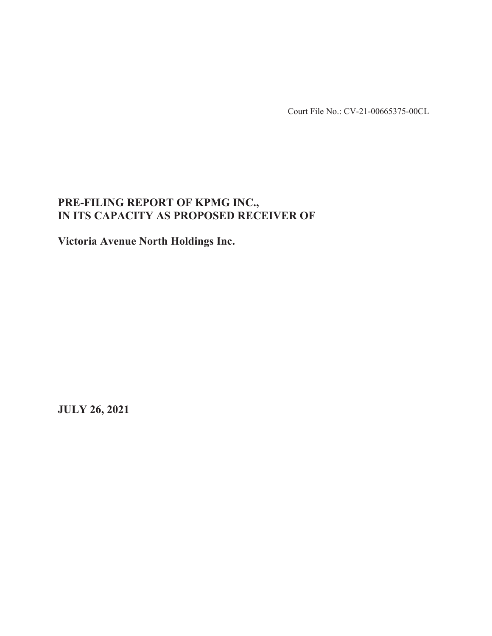Court File No.: CV-21-00665375-00CL

# **PRE-FILING REPORT OF KPMG INC., IN ITS CAPACITY AS PROPOSED RECEIVER OF**

**Victoria Avenue North Holdings Inc.** 

**JULY 26, 2021**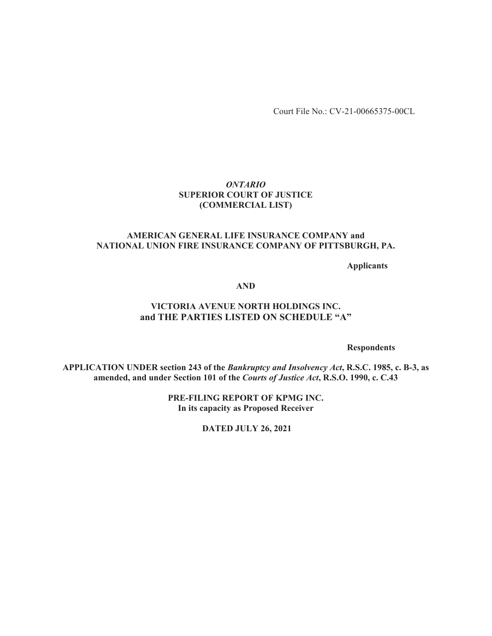Court File No.: CV-21-00665375-00CL

### *ONTARIO*  **SUPERIOR COURT OF JUSTICE (COMMERCIAL LIST)**

#### **AMERICAN GENERAL LIFE INSURANCE COMPANY and NATIONAL UNION FIRE INSURANCE COMPANY OF PITTSBURGH, PA.**

**Applicants** 

**AND** 

# **VICTORIA AVENUE NORTH HOLDINGS INC. and THE PARTIES LISTED ON SCHEDULE "A"**

**Respondents** 

**APPLICATION UNDER section 243 of the** *Bankruptcy and Insolvency Act***, R.S.C. 1985, c. B-3, as amended, and under Section 101 of the** *Courts of Justice Act***, R.S.O. 1990, c. C.43** 

> **PRE-FILING REPORT OF KPMG INC. In its capacity as Proposed Receiver**

> > **DATED JULY 26, 2021**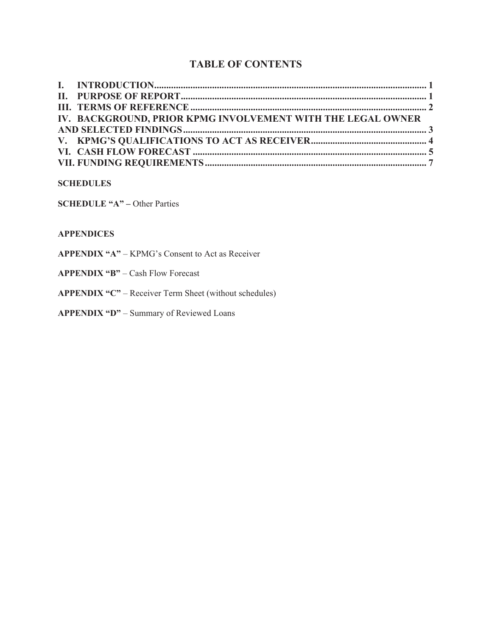# **TABLE OF CONTENTS**

| IV. BACKGROUND, PRIOR KPMG INVOLVEMENT WITH THE LEGAL OWNER |  |
|-------------------------------------------------------------|--|
|                                                             |  |
|                                                             |  |
|                                                             |  |
|                                                             |  |
|                                                             |  |

# **SCHEDULES**

**SCHEDULE "A"** – Other Parties

#### **APPENDICES**

- **APPENDIX "A"** KPMG's Consent to Act as Receiver
- **APPENDIX "B"** Cash Flow Forecast
- **APPENDIX "C"** Receiver Term Sheet (without schedules)
- **APPENDIX "D"** Summary of Reviewed Loans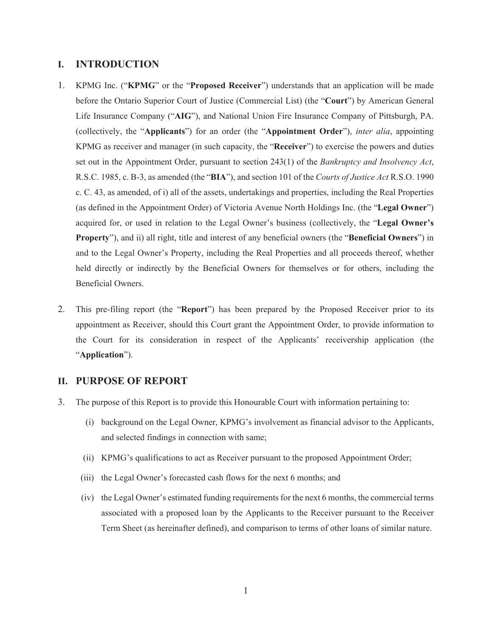#### **I. INTRODUCTION**

- 1. KPMG Inc. ("**KPMG**" or the "**Proposed Receiver**") understands that an application will be made before the Ontario Superior Court of Justice (Commercial List) (the "**Court**") by American General Life Insurance Company ("**AIG**"), and National Union Fire Insurance Company of Pittsburgh, PA. (collectively, the "**Applicants**") for an order (the "**Appointment Order**"), *inter alia*, appointing KPMG as receiver and manager (in such capacity, the "**Receiver**") to exercise the powers and duties set out in the Appointment Order, pursuant to section 243(1) of the *Bankruptcy and Insolvency Act*, R.S.C. 1985, c. B-3, as amended (the "**BIA**"), and section 101 of the *Courts of Justice Act* R.S.O. 1990 c. C. 43, as amended, of i) all of the assets, undertakings and properties, including the Real Properties (as defined in the Appointment Order) of Victoria Avenue North Holdings Inc. (the "**Legal Owner**") acquired for, or used in relation to the Legal Owner's business (collectively, the "**Legal Owner's Property**"), and ii) all right, title and interest of any beneficial owners (the "**Beneficial Owners**") in and to the Legal Owner's Property, including the Real Properties and all proceeds thereof, whether held directly or indirectly by the Beneficial Owners for themselves or for others, including the Beneficial Owners.
- 2. This pre-filing report (the "**Report**") has been prepared by the Proposed Receiver prior to its appointment as Receiver, should this Court grant the Appointment Order, to provide information to the Court for its consideration in respect of the Applicants' receivership application (the "**Application**").

# **II. PURPOSE OF REPORT**

- 3. The purpose of this Report is to provide this Honourable Court with information pertaining to:
	- (i) background on the Legal Owner, KPMG's involvement as financial advisor to the Applicants, and selected findings in connection with same;
	- (ii) KPMG's qualifications to act as Receiver pursuant to the proposed Appointment Order;
	- (iii) the Legal Owner's forecasted cash flows for the next 6 months; and
	- (iv) the Legal Owner's estimated funding requirements for the next 6 months, the commercial terms associated with a proposed loan by the Applicants to the Receiver pursuant to the Receiver Term Sheet (as hereinafter defined), and comparison to terms of other loans of similar nature.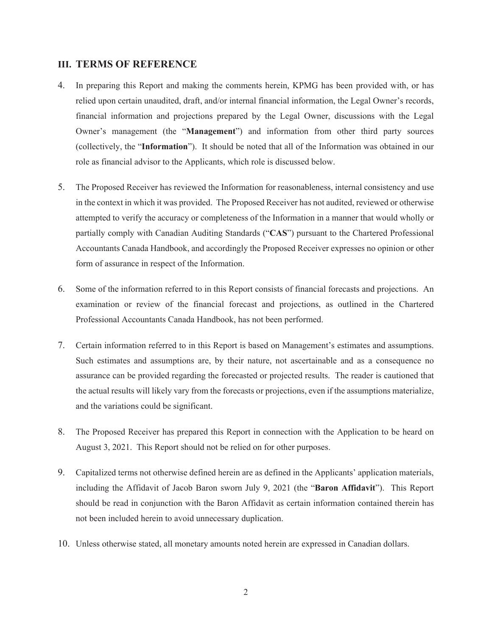### **III. TERMS OF REFERENCE**

- 4. In preparing this Report and making the comments herein, KPMG has been provided with, or has relied upon certain unaudited, draft, and/or internal financial information, the Legal Owner's records, financial information and projections prepared by the Legal Owner, discussions with the Legal Owner's management (the "**Management**") and information from other third party sources (collectively, the "**Information**"). It should be noted that all of the Information was obtained in our role as financial advisor to the Applicants, which role is discussed below.
- 5. The Proposed Receiver has reviewed the Information for reasonableness, internal consistency and use in the context in which it was provided. The Proposed Receiver has not audited, reviewed or otherwise attempted to verify the accuracy or completeness of the Information in a manner that would wholly or partially comply with Canadian Auditing Standards ("**CAS**") pursuant to the Chartered Professional Accountants Canada Handbook, and accordingly the Proposed Receiver expresses no opinion or other form of assurance in respect of the Information.
- 6. Some of the information referred to in this Report consists of financial forecasts and projections. An examination or review of the financial forecast and projections, as outlined in the Chartered Professional Accountants Canada Handbook, has not been performed.
- 7. Certain information referred to in this Report is based on Management's estimates and assumptions. Such estimates and assumptions are, by their nature, not ascertainable and as a consequence no assurance can be provided regarding the forecasted or projected results. The reader is cautioned that the actual results will likely vary from the forecasts or projections, even if the assumptions materialize, and the variations could be significant.
- 8. The Proposed Receiver has prepared this Report in connection with the Application to be heard on August 3, 2021. This Report should not be relied on for other purposes.
- 9. Capitalized terms not otherwise defined herein are as defined in the Applicants' application materials, including the Affidavit of Jacob Baron sworn July 9, 2021 (the "**Baron Affidavit**"). This Report should be read in conjunction with the Baron Affidavit as certain information contained therein has not been included herein to avoid unnecessary duplication.
- 10. Unless otherwise stated, all monetary amounts noted herein are expressed in Canadian dollars.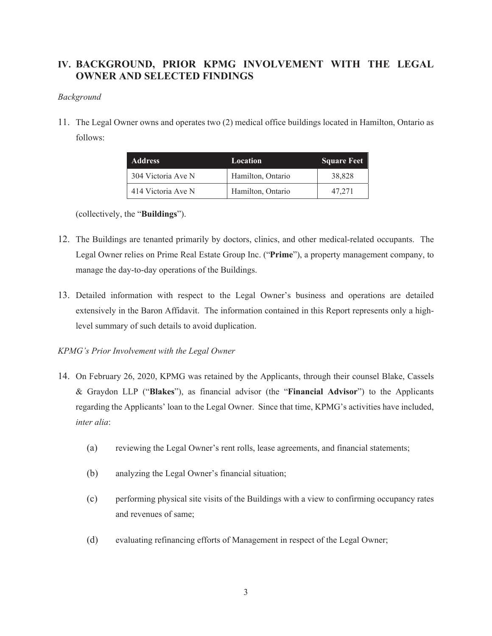# **IV. BACKGROUND, PRIOR KPMG INVOLVEMENT WITH THE LEGAL OWNER AND SELECTED FINDINGS**

#### *Background*

11. The Legal Owner owns and operates two (2) medical office buildings located in Hamilton, Ontario as follows:

| <b>Address</b>     | Location          | <b>Square Feet</b> |
|--------------------|-------------------|--------------------|
| 304 Victoria Ave N | Hamilton, Ontario | 38,828             |
| 414 Victoria Ave N | Hamilton, Ontario | 47,271             |

(collectively, the "**Buildings**").

- 12. The Buildings are tenanted primarily by doctors, clinics, and other medical-related occupants. The Legal Owner relies on Prime Real Estate Group Inc. ("**Prime**"), a property management company, to manage the day-to-day operations of the Buildings.
- 13. Detailed information with respect to the Legal Owner's business and operations are detailed extensively in the Baron Affidavit. The information contained in this Report represents only a highlevel summary of such details to avoid duplication.

# *KPMG's Prior Involvement with the Legal Owner*

- 14. On February 26, 2020, KPMG was retained by the Applicants, through their counsel Blake, Cassels & Graydon LLP ("**Blakes**"), as financial advisor (the "**Financial Advisor**") to the Applicants regarding the Applicants' loan to the Legal Owner. Since that time, KPMG's activities have included, *inter alia*:
	- (a) reviewing the Legal Owner's rent rolls, lease agreements, and financial statements;
	- (b) analyzing the Legal Owner's financial situation;
	- (c) performing physical site visits of the Buildings with a view to confirming occupancy rates and revenues of same;
	- (d) evaluating refinancing efforts of Management in respect of the Legal Owner;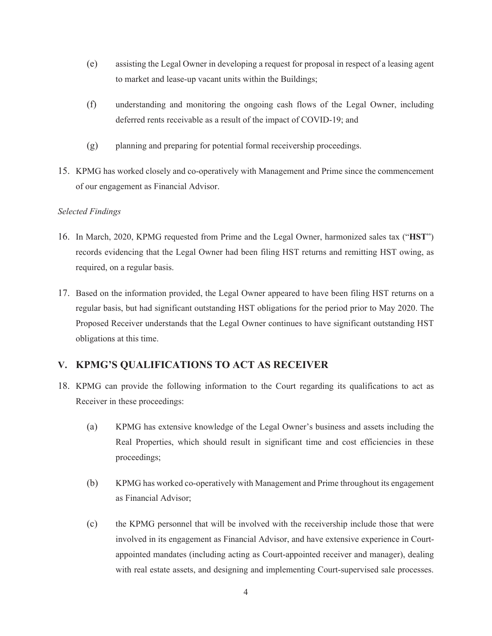- (e) assisting the Legal Owner in developing a request for proposal in respect of a leasing agent to market and lease-up vacant units within the Buildings;
- (f) understanding and monitoring the ongoing cash flows of the Legal Owner, including deferred rents receivable as a result of the impact of COVID-19; and
- (g) planning and preparing for potential formal receivership proceedings.
- 15. KPMG has worked closely and co-operatively with Management and Prime since the commencement of our engagement as Financial Advisor.

#### *Selected Findings*

- 16. In March, 2020, KPMG requested from Prime and the Legal Owner, harmonized sales tax ("**HST**") records evidencing that the Legal Owner had been filing HST returns and remitting HST owing, as required, on a regular basis.
- 17. Based on the information provided, the Legal Owner appeared to have been filing HST returns on a regular basis, but had significant outstanding HST obligations for the period prior to May 2020. The Proposed Receiver understands that the Legal Owner continues to have significant outstanding HST obligations at this time.

# **V. KPMG'S QUALIFICATIONS TO ACT AS RECEIVER**

- 18. KPMG can provide the following information to the Court regarding its qualifications to act as Receiver in these proceedings:
	- (a) KPMG has extensive knowledge of the Legal Owner's business and assets including the Real Properties, which should result in significant time and cost efficiencies in these proceedings;
	- (b) KPMG has worked co-operatively with Management and Prime throughout its engagement as Financial Advisor;
	- (c) the KPMG personnel that will be involved with the receivership include those that were involved in its engagement as Financial Advisor, and have extensive experience in Courtappointed mandates (including acting as Court-appointed receiver and manager), dealing with real estate assets, and designing and implementing Court-supervised sale processes.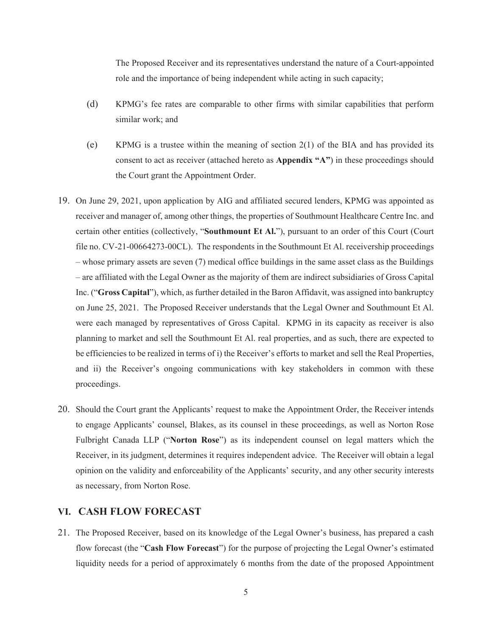The Proposed Receiver and its representatives understand the nature of a Court-appointed role and the importance of being independent while acting in such capacity;

- (d) KPMG's fee rates are comparable to other firms with similar capabilities that perform similar work; and
- (e) KPMG is a trustee within the meaning of section 2(1) of the BIA and has provided its consent to act as receiver (attached hereto as **Appendix "A"**) in these proceedings should the Court grant the Appointment Order.
- 19. On June 29, 2021, upon application by AIG and affiliated secured lenders, KPMG was appointed as receiver and manager of, among other things, the properties of Southmount Healthcare Centre Inc. and certain other entities (collectively, "**Southmount Et Al.**"), pursuant to an order of this Court (Court file no. CV-21-00664273-00CL). The respondents in the Southmount Et Al. receivership proceedings – whose primary assets are seven (7) medical office buildings in the same asset class as the Buildings – are affiliated with the Legal Owner as the majority of them are indirect subsidiaries of Gross Capital Inc. ("**Gross Capital**"), which, as further detailed in the Baron Affidavit, was assigned into bankruptcy on June 25, 2021. The Proposed Receiver understands that the Legal Owner and Southmount Et Al. were each managed by representatives of Gross Capital. KPMG in its capacity as receiver is also planning to market and sell the Southmount Et Al. real properties, and as such, there are expected to be efficiencies to be realized in terms of i) the Receiver's efforts to market and sell the Real Properties, and ii) the Receiver's ongoing communications with key stakeholders in common with these proceedings.
- 20. Should the Court grant the Applicants' request to make the Appointment Order, the Receiver intends to engage Applicants' counsel, Blakes, as its counsel in these proceedings, as well as Norton Rose Fulbright Canada LLP ("**Norton Rose**") as its independent counsel on legal matters which the Receiver, in its judgment, determines it requires independent advice. The Receiver will obtain a legal opinion on the validity and enforceability of the Applicants' security, and any other security interests as necessary, from Norton Rose.

#### **VI. CASH FLOW FORECAST**

21. The Proposed Receiver, based on its knowledge of the Legal Owner's business, has prepared a cash flow forecast (the "**Cash Flow Forecast**") for the purpose of projecting the Legal Owner's estimated liquidity needs for a period of approximately 6 months from the date of the proposed Appointment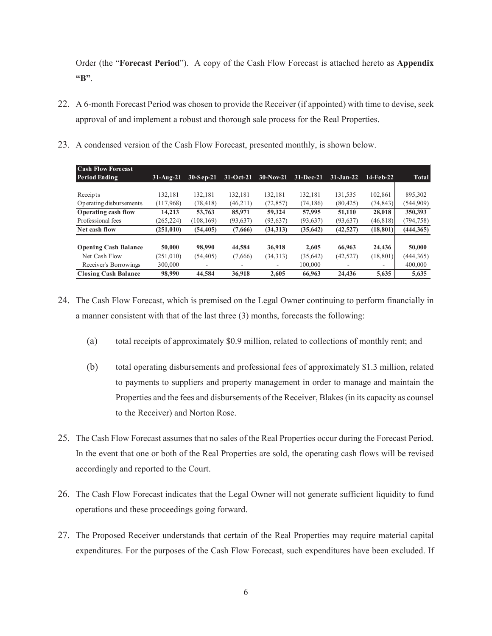Order (the "**Forecast Period**"). A copy of the Cash Flow Forecast is attached hereto as **Appendix "B"**.

- 22. A 6-month Forecast Period was chosen to provide the Receiver (if appointed) with time to devise, seek approval of and implement a robust and thorough sale process for the Real Properties.
- 23. A condensed version of the Cash Flow Forecast, presented monthly, is shown below.

| <b>Cash Flow Forecast</b><br><b>Period Ending</b> | $31-Aug-21$ | $30-Sep-21$ | $31-Oct-21$ | $30-Nov-21$ | $31-Dec-21$ | $31-Jan-22$              | $14$ -Feb-22 | <b>Total</b> |
|---------------------------------------------------|-------------|-------------|-------------|-------------|-------------|--------------------------|--------------|--------------|
|                                                   |             |             |             |             |             |                          |              |              |
| Receipts                                          | 132.181     | 132.181     | 132.181     | 132.181     | 132.181     | 131,535                  | 102,861      | 895,302      |
| Operating disbursements                           | (117,968)   | (78, 418)   | (46,211)    | (72, 857)   | (74, 186)   | (80, 425)                | (74,843)     | (544, 909)   |
| Operating cash flow                               | 14,213      | 53,763      | 85,971      | 59,324      | 57,995      | 51,110                   | 28,018       | 350,393      |
| Professional fees                                 | (265, 224)  | (108, 169)  | (93, 637)   | (93, 637)   | (93, 637)   | (93, 637)                | (46, 818)    | (794, 758)   |
| Net cash flow                                     | (251, 010)  | (54, 405)   | (7,666)     | (34,313)    | (35, 642)   | (42,527)                 | (18, 801)    | (444, 365)   |
| <b>Opening Cash Balance</b>                       | 50,000      | 98,990      | 44,584      | 36,918      | 2,605       | 66,963                   | 24,436       | 50,000       |
| Net Cash Flow                                     | (251,010)   | (54, 405)   | (7,666)     | (34,313)    | (35,642)    | (42, 527)                | (18, 801)    | (444,365)    |
| Receiver's Borrowings                             | 300,000     |             |             | ۰           | 100,000     | $\overline{\phantom{a}}$ | -            | 400,000      |
| <b>Closing Cash Balance</b>                       | 98,990      | 44,584      | 36,918      | 2.605       | 66,963      | 24,436                   | 5,635        | 5,635        |

- 24. The Cash Flow Forecast, which is premised on the Legal Owner continuing to perform financially in a manner consistent with that of the last three (3) months, forecasts the following:
	- (a) total receipts of approximately \$0.9 million, related to collections of monthly rent; and
	- (b) total operating disbursements and professional fees of approximately \$1.3 million, related to payments to suppliers and property management in order to manage and maintain the Properties and the fees and disbursements of the Receiver, Blakes (in its capacity as counsel to the Receiver) and Norton Rose.
- 25. The Cash Flow Forecast assumes that no sales of the Real Properties occur during the Forecast Period. In the event that one or both of the Real Properties are sold, the operating cash flows will be revised accordingly and reported to the Court.
- 26. The Cash Flow Forecast indicates that the Legal Owner will not generate sufficient liquidity to fund operations and these proceedings going forward.
- 27. The Proposed Receiver understands that certain of the Real Properties may require material capital expenditures. For the purposes of the Cash Flow Forecast, such expenditures have been excluded. If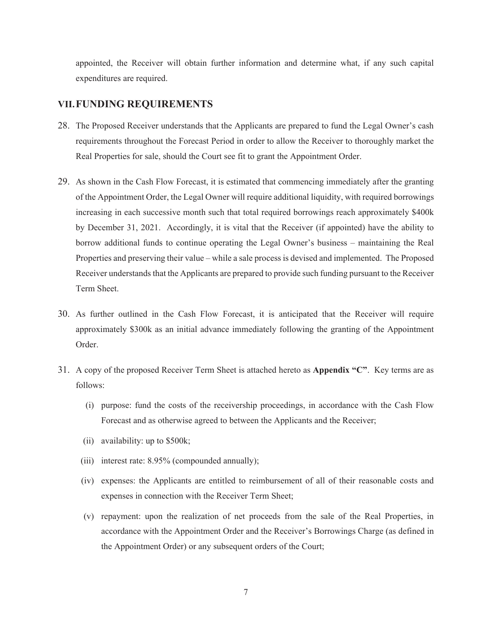appointed, the Receiver will obtain further information and determine what, if any such capital expenditures are required.

#### **VII.FUNDING REQUIREMENTS**

- 28. The Proposed Receiver understands that the Applicants are prepared to fund the Legal Owner's cash requirements throughout the Forecast Period in order to allow the Receiver to thoroughly market the Real Properties for sale, should the Court see fit to grant the Appointment Order.
- 29. As shown in the Cash Flow Forecast, it is estimated that commencing immediately after the granting of the Appointment Order, the Legal Owner will require additional liquidity, with required borrowings increasing in each successive month such that total required borrowings reach approximately \$400k by December 31, 2021. Accordingly, it is vital that the Receiver (if appointed) have the ability to borrow additional funds to continue operating the Legal Owner's business – maintaining the Real Properties and preserving their value – while a sale process is devised and implemented. The Proposed Receiver understands that the Applicants are prepared to provide such funding pursuant to the Receiver Term Sheet.
- 30. As further outlined in the Cash Flow Forecast, it is anticipated that the Receiver will require approximately \$300k as an initial advance immediately following the granting of the Appointment Order.
- 31. A copy of the proposed Receiver Term Sheet is attached hereto as **Appendix "C"**. Key terms are as follows:
	- (i) purpose: fund the costs of the receivership proceedings, in accordance with the Cash Flow Forecast and as otherwise agreed to between the Applicants and the Receiver;
	- (ii) availability: up to \$500k;
	- (iii) interest rate: 8.95% (compounded annually);
	- (iv) expenses: the Applicants are entitled to reimbursement of all of their reasonable costs and expenses in connection with the Receiver Term Sheet;
	- (v) repayment: upon the realization of net proceeds from the sale of the Real Properties, in accordance with the Appointment Order and the Receiver's Borrowings Charge (as defined in the Appointment Order) or any subsequent orders of the Court;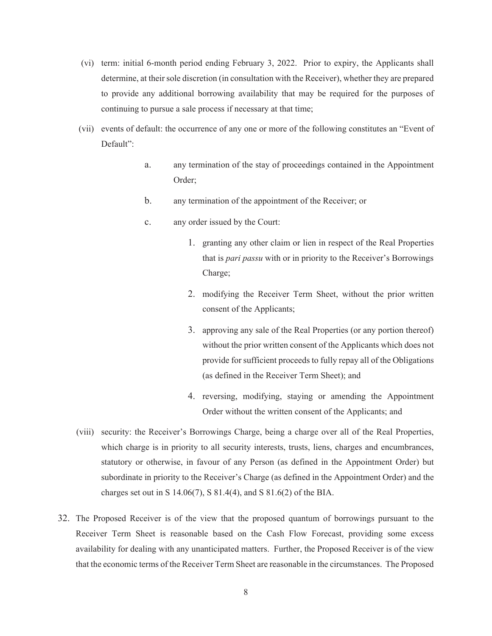- (vi) term: initial 6-month period ending February 3, 2022. Prior to expiry, the Applicants shall determine, at their sole discretion (in consultation with the Receiver), whether they are prepared to provide any additional borrowing availability that may be required for the purposes of continuing to pursue a sale process if necessary at that time;
- (vii) events of default: the occurrence of any one or more of the following constitutes an "Event of Default":
	- a. any termination of the stay of proceedings contained in the Appointment Order;
	- b. any termination of the appointment of the Receiver; or
	- c. any order issued by the Court:
		- 1. granting any other claim or lien in respect of the Real Properties that is *pari passu* with or in priority to the Receiver's Borrowings Charge;
		- 2. modifying the Receiver Term Sheet, without the prior written consent of the Applicants;
		- 3. approving any sale of the Real Properties (or any portion thereof) without the prior written consent of the Applicants which does not provide for sufficient proceeds to fully repay all of the Obligations (as defined in the Receiver Term Sheet); and
		- 4. reversing, modifying, staying or amending the Appointment Order without the written consent of the Applicants; and
- (viii) security: the Receiver's Borrowings Charge, being a charge over all of the Real Properties, which charge is in priority to all security interests, trusts, liens, charges and encumbrances, statutory or otherwise, in favour of any Person (as defined in the Appointment Order) but subordinate in priority to the Receiver's Charge (as defined in the Appointment Order) and the charges set out in S 14.06(7), S 81.4(4), and S 81.6(2) of the BIA.
- 32. The Proposed Receiver is of the view that the proposed quantum of borrowings pursuant to the Receiver Term Sheet is reasonable based on the Cash Flow Forecast, providing some excess availability for dealing with any unanticipated matters. Further, the Proposed Receiver is of the view that the economic terms of the Receiver Term Sheet are reasonable in the circumstances. The Proposed